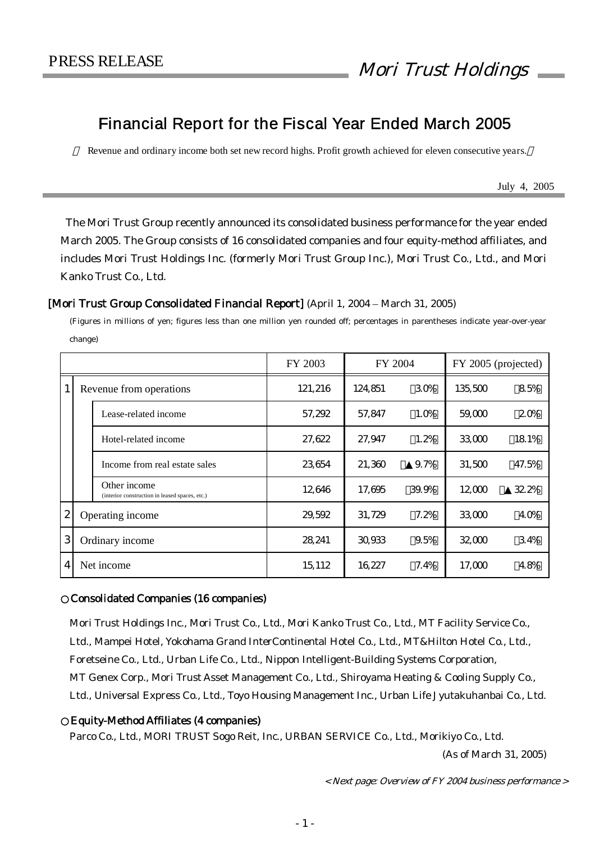# Financial Report for the Fiscal Year Ended March 2005

Revenue and ordinary income both set new record highs. Profit growth achieved for eleven consecutive years.

July 4, 2005

The Mori Trust Group recently announced its consolidated business performance for the year ended March 2005. The Group consists of 16 consolidated companies and four equity-method affiliates, and includes Mori Trust Holdings Inc. (formerly Mori Trust Group Inc.), Mori Trust Co., Ltd., and Mori Kanko Trust Co., Ltd.

### [Mori Trust Group Consolidated Financial Report] (April 1, 2004 – March 31, 2005)

(Figures in millions of yen; figures less than one million yen rounded off; percentages in parentheses indicate year-over-year change)

|                  |  |                                                                | FY 2003 | FY 2004<br>FY 2005 (projected) |       |         |       |
|------------------|--|----------------------------------------------------------------|---------|--------------------------------|-------|---------|-------|
|                  |  | Revenue from operations                                        | 121,216 | 124,851                        | 30%   | 135,500 | 85%   |
|                  |  | Lease-related income                                           | 57,292  | 57,847                         | 1.0%  | 59,000  | 20%   |
|                  |  | Hotel-related income                                           | 27,622  | 27,947                         | 1.2%  | 33,000  | 18.1% |
|                  |  | Income from real estate sales                                  | 23654   | 21,360                         | 9.7%  | 31,500  | 47.5% |
|                  |  | Other income<br>(interior construction in leased spaces, etc.) | 12646   | 17,695                         | 39.9% | 12,000  | 32.2% |
| $\boldsymbol{2}$ |  | Operating income                                               | 29,592  | 31,729                         | 7.2%  | 33,000  | 40%   |
| 3                |  | Ordinary income                                                | 28,241  | 30.933                         | 9.5%  | 32,000  | 34%   |
| 4                |  | Net income                                                     | 15, 112 | 16,227                         | 7.4%  | 17,000  | 48%   |

#### ○Consolidated Companies (16 companies)

Mori Trust Holdings Inc., Mori Trust Co., Ltd., Mori Kanko Trust Co., Ltd., MT Facility Service Co., Ltd., Mampei Hotel, Yokohama Grand InterContinental Hotel Co., Ltd., MT&Hilton Hotel Co., Ltd., Foretseine Co., Ltd., Urban Life Co., Ltd., Nippon Intelligent-Building Systems Corporation, MT Genex Corp., Mori Trust Asset Management Co., Ltd., Shiroyama Heating & Cooling Supply Co., Ltd., Universal Express Co., Ltd., Toyo Housing Management Inc., Urban Life Jyutakuhanbai Co., Ltd.

#### Equity-Method Affiliates (4 companies)

Parco Co., Ltd., MORI TRUST Sogo Reit, Inc., URBAN SERVICE Co., Ltd., Morikiyo Co., Ltd.

(As of March 31, 2005)

< Next page: Overview of FY 2004 business performance <sup>&</sup>gt;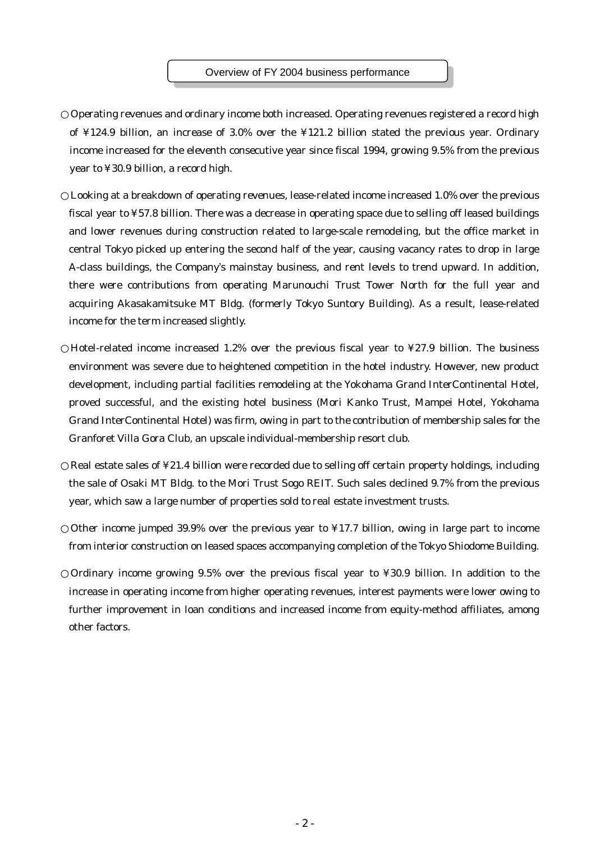#### Overview of FY 2004 business performance

Operating revenues and ordinary income both increased. Operating revenues registered a record high of ¥124.9 billion, an increase of 3.0% over the ¥121.2 billion stated the previous year. Ordinary income increased for the eleventh consecutive year since fiscal 1994, growing 9.5% from the previous year to ¥30.9 billion, a record high.

Looking at a breakdown of operating revenues, lease-related income increased 1.0% over the previous fiscal year to ¥57.8 billion. There was a decrease in operating space due to selling off leased buildings and lower revenues during construction related to large-scale remodeling, but the office market in central Tokyo picked up entering the second half of the year, causing vacancy rates to drop in large A-class buildings, the Company's mainstay business, and rent levels to trend upward. In addition, there were contributions from operating Marunouchi Trust Tower North for the full year and acquiring Akasakamitsuke MT Bldg. (formerly Tokyo Suntory Building). As a result, lease-related income for the term increased slightly.

Hotel-related income increased 1.2% over the previous fiscal year to ¥27.9 billion. The business environment was severe due to heightened competition in the hotel industry. However, new product development, including partial facilities remodeling at the Yokohama Grand InterContinental Hotel, proved successful, and the existing hotel business (Mori Kanko Trust, Mampei Hotel, Yokohama Grand InterContinental Hotel) was firm, owing in part to the contribution of membership sales for the Granforet Villa Gora Club, an upscale individual-membership resort club.

Real estate sales of ¥21.4 billion were recorded due to selling off certain property holdings, including the sale of Osaki MT Bldg. to the Mori Trust Sogo REIT. Such sales declined 9.7% from the previous year, which saw a large number of properties sold to real estate investment trusts.

Other income jumped 39.9% over the previous year to ¥17.7 billion, owing in large part to income from interior construction on leased spaces accompanying completion of the Tokyo Shiodome Building.

Ordinary income growing 9.5% over the previous fiscal year to ¥30.9 billion. In addition to the increase in operating income from higher operating revenues, interest payments were lower owing to further improvement in loan conditions and increased income from equity-method affiliates, among other factors.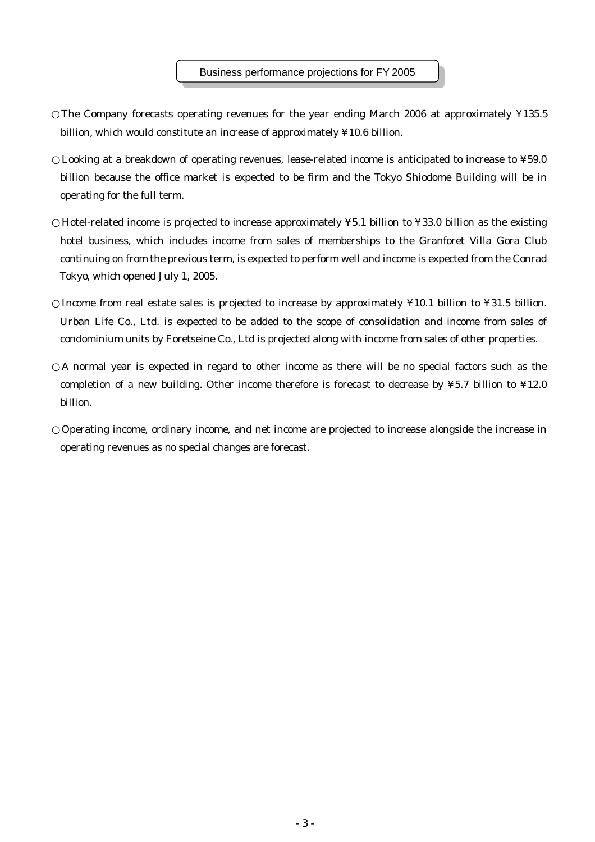The Company forecasts operating revenues for the year ending March 2006 at approximately ¥135.5 billion, which would constitute an increase of approximately ¥10.6 billion.

Looking at a breakdown of operating revenues, lease-related income is anticipated to increase to ¥59.0 billion because the office market is expected to be firm and the Tokyo Shiodome Building will be in operating for the full term.

Hotel-related income is projected to increase approximately ¥5.1 billion to ¥33.0 billion as the existing hotel business, which includes income from sales of memberships to the Granforet Villa Gora Club continuing on from the previous term, is expected to perform well and income is expected from the Conrad Tokyo, which opened July 1, 2005.

Income from real estate sales is projected to increase by approximately ¥10.1 billion to ¥31.5 billion. Urban Life Co., Ltd. is expected to be added to the scope of consolidation and income from sales of condominium units by Foretseine Co., Ltd is projected along with income from sales of other properties.

A normal year is expected in regard to other income as there will be no special factors such as the completion of a new building. Other income therefore is forecast to decrease by ¥5.7 billion to ¥12.0 billion.

Operating income, ordinary income, and net income are projected to increase alongside the increase in operating revenues as no special changes are forecast.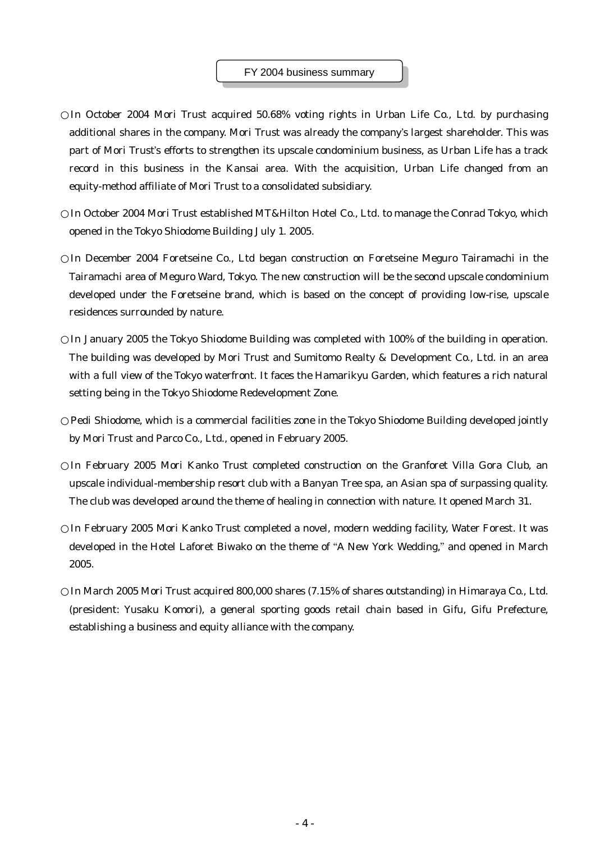#### FY 2004 business summary

In October 2004 Mori Trust acquired 50.68% voting rights in Urban Life Co., Ltd. by purchasing additional shares in the company. Mori Trust was already the company's largest shareholder. This was part of Mori Trust's efforts to strengthen its upscale condominium business, as Urban Life has a track record in this business in the Kansai area. With the acquisition, Urban Life changed from an equity-method affiliate of Mori Trust to a consolidated subsidiary.

In October 2004 Mori Trust established MT&Hilton Hotel Co., Ltd. to manage the Conrad Tokyo, which opened in the Tokyo Shiodome Building July 1. 2005.

In December 2004 Foretseine Co., Ltd began construction on Foretseine Meguro Tairamachi in the Tairamachi area of Meguro Ward, Tokyo. The new construction will be the second upscale condominium developed under the Foretseine brand, which is based on the concept of providing low-rise, upscale residences surrounded by nature.

In January 2005 the Tokyo Shiodome Building was completed with 100% of the building in operation. The building was developed by Mori Trust and Sumitomo Realty & Development Co., Ltd. in an area with a full view of the Tokyo waterfront. It faces the Hamarikyu Garden, which features a rich natural setting being in the Tokyo Shiodome Redevelopment Zone.

Pedi Shiodome, which is a commercial facilities zone in the Tokyo Shiodome Building developed jointly by Mori Trust and Parco Co., Ltd., opened in February 2005.

In February 2005 Mori Kanko Trust completed construction on the Granforet Villa Gora Club, an upscale individual-membership resort club with a Banyan Tree spa, an Asian spa of surpassing quality. The club was developed around the theme of healing in connection with nature. It opened March 31.

In February 2005 Mori Kanko Trust completed a novel, modern wedding facility, Water Forest. It was developed in the Hotel Laforet Biwako on the theme of "A New York Wedding," and opened in March 2005.

In March 2005 Mori Trust acquired 800,000 shares (7.15% of shares outstanding) in Himaraya Co., Ltd. (president: Yusaku Komori), a general sporting goods retail chain based in Gifu, Gifu Prefecture, establishing a business and equity alliance with the company.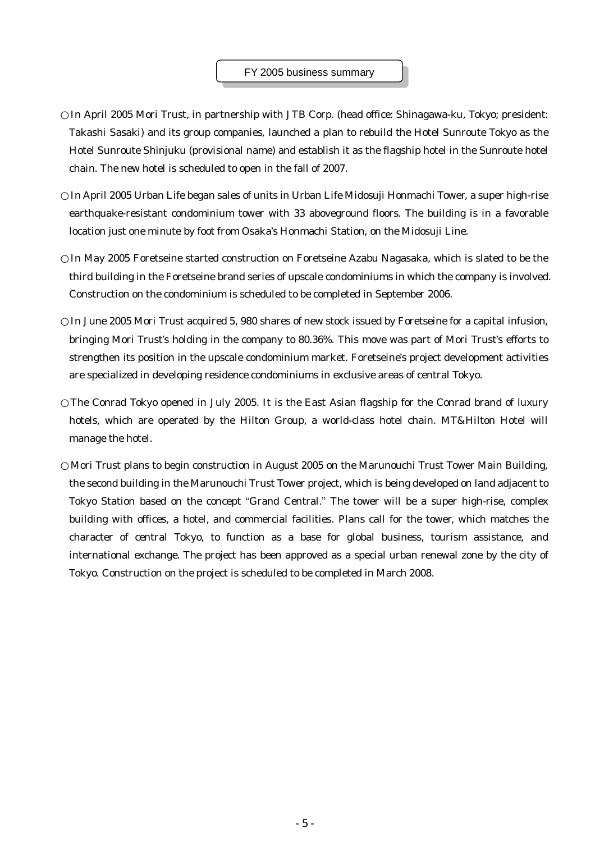In April 2005 Mori Trust, in partnership with JTB Corp. (head office: Shinagawa-ku, Tokyo; president: Takashi Sasaki) and its group companies, launched a plan to rebuild the Hotel Sunroute Tokyo as the Hotel Sunroute Shinjuku (provisional name) and establish it as the flagship hotel in the Sunroute hotel chain. The new hotel is scheduled to open in the fall of 2007.

In April 2005 Urban Life began sales of units in Urban Life Midosuji Honmachi Tower, a super high-rise earthquake-resistant condominium tower with 33 aboveground floors. The building is in a favorable location just one minute by foot from Osaka's Honmachi Station, on the Midosuji Line.

In May 2005 Foretseine started construction on Foretseine Azabu Nagasaka, which is slated to be the third building in the Foretseine brand series of upscale condominiums in which the company is involved. Construction on the condominium is scheduled to be completed in September 2006.

In June 2005 Mori Trust acquired 5, 980 shares of new stock issued by Foretseine for a capital infusion, bringing Mori Trust's holding in the company to 80.36%. This move was part of Mori Trust's efforts to strengthen its position in the upscale condominium market. Foretseine's project development activities are specialized in developing residence condominiums in exclusive areas of central Tokyo.

The Conrad Tokyo opened in July 2005. It is the East Asian flagship for the Conrad brand of luxury hotels, which are operated by the Hilton Group, a world-class hotel chain. MT&Hilton Hotel will manage the hotel.

Mori Trust plans to begin construction in August 2005 on the Marunouchi Trust Tower Main Building, the second building in the Marunouchi Trust Tower project, which is being developed on land adjacent to Tokyo Station based on the concept "Grand Central." The tower will be a super high-rise, complex building with offices, a hotel, and commercial facilities. Plans call for the tower, which matches the character of central Tokyo, to function as a base for global business, tourism assistance, and international exchange. The project has been approved as a special urban renewal zone by the city of Tokyo. Construction on the project is scheduled to be completed in March 2008.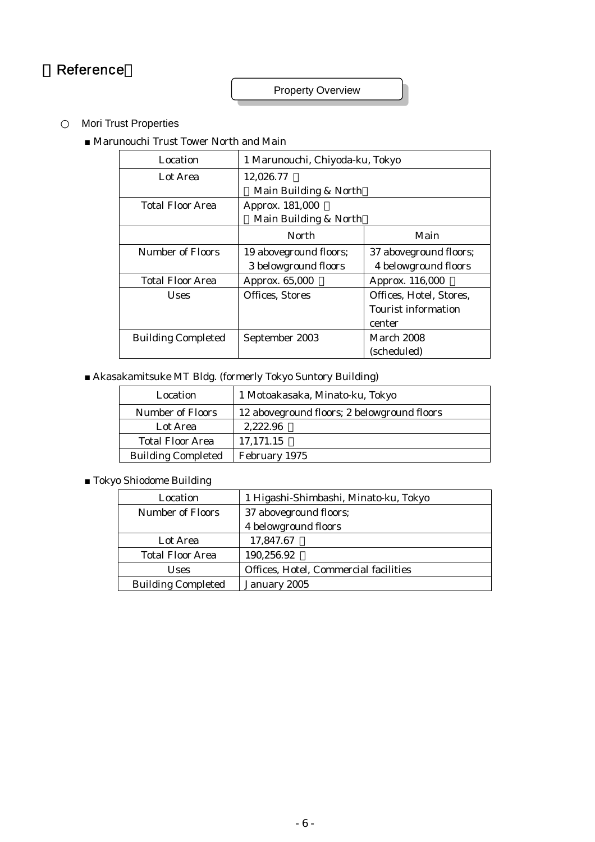# **Reference**

Property Overview

Mori Trust Properties

■ Marunouchi Trust Tower North and Main

| Location                  | 1 Marunouchi, Chiyoda-ku, Tokyo |                         |  |  |
|---------------------------|---------------------------------|-------------------------|--|--|
| Lot Area                  | 12,026.77                       |                         |  |  |
|                           | Main Building & North           |                         |  |  |
| <b>Total Floor Area</b>   | Approx. 181,000                 |                         |  |  |
|                           | Main Building & North           |                         |  |  |
|                           | North                           | Main                    |  |  |
| Number of Floors          | 19 aboveground floors;          | 37 aboveground floors;  |  |  |
|                           | 3 belowground floors            | 4 belowground floors    |  |  |
| <b>Total Floor Area</b>   | Approx. 65,000                  | Approx. 116,000         |  |  |
| <b>Uses</b>               | <b>Offices, Stores</b>          | Offices, Hotel, Stores, |  |  |
|                           |                                 | Tourist information     |  |  |
|                           |                                 | center                  |  |  |
| <b>Building Completed</b> | September 2003                  | March 2008              |  |  |
|                           |                                 | (scheduled)             |  |  |

■ Akasakamitsuke MT Bldg. (formerly Tokyo Suntory Building)

| Location                  | 1 Motoakasaka, Minato-ku, Tokyo             |
|---------------------------|---------------------------------------------|
| <b>Number of Floors</b>   | 12 aboveground floors; 2 belowground floors |
| Lot Area                  | 2.222.96                                    |
| <b>Total Floor Area</b>   | 17,171.15                                   |
| <b>Building Completed</b> | February 1975                               |

■ Tokyo Shiodome Building

| Location                  | 1 Higashi-Shimbashi, Minato-ku, Tokyo |
|---------------------------|---------------------------------------|
| <b>Number of Floors</b>   | 37 aboveground floors;                |
|                           | 4 belowground floors                  |
| Lot Area                  | 17,847.67                             |
| <b>Total Floor Area</b>   | 190,256.92                            |
| <b>Uses</b>               | Offices, Hotel, Commercial facilities |
| <b>Building Completed</b> | January 2005                          |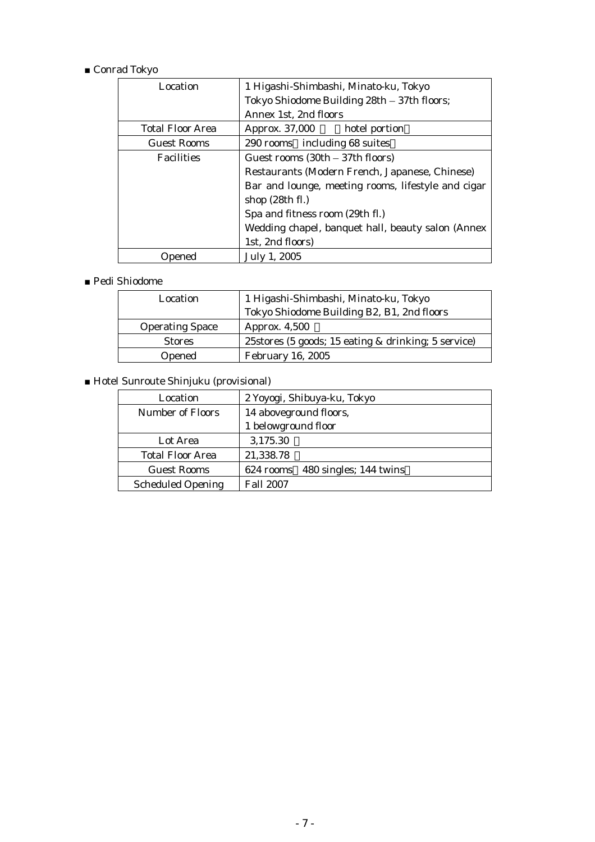# ■ Conrad Tokyo

| Location                | 1 Higashi-Shimbashi, Minato-ku, Tokyo              |  |
|-------------------------|----------------------------------------------------|--|
|                         | Tokyo Shiodome Building 28th - 37th floors;        |  |
|                         | Annex 1st, 2nd floors                              |  |
| <b>Total Floor Area</b> | Approx. 37,000<br>hotel portion                    |  |
| <b>Guest Rooms</b>      | 290 rooms including 68 suites                      |  |
| <b>Facilities</b>       | Guest rooms $(30th - 37th$ floors)                 |  |
|                         | Restaurants (Modern French, Japanese, Chinese)     |  |
|                         | Bar and lounge, meeting rooms, lifestyle and cigar |  |
|                         | shop $(28th fl.)$                                  |  |
|                         | Spa and fitness room (29th fl.)                    |  |
|                         | Wedding chapel, banquet hall, beauty salon (Annex  |  |
|                         | 1st, 2nd floors)                                   |  |
| Opened                  | July 1, 2005                                       |  |

## ■ Pedi Shiodome

| 1 Higashi-Shimbashi, Minato-ku, Tokyo<br>Location |                                                     |
|---------------------------------------------------|-----------------------------------------------------|
|                                                   | Tokyo Shiodome Building B2, B1, 2nd floors          |
| <b>Operating Space</b>                            | Approx. 4,500                                       |
| <b>Stores</b>                                     | 25stores (5 goods; 15 eating & drinking; 5 service) |
| Opened                                            | <b>February 16, 2005</b>                            |

# ■ Hotel Sunroute Shinjuku (provisional)

| Location                 | 2 Yoyogi, Shibuya-ku, Tokyo      |
|--------------------------|----------------------------------|
| <b>Number of Floors</b>  | 14 aboveground floors,           |
|                          | 1 belowground floor              |
| Lot Area                 | 3,175.30                         |
| <b>Total Floor Area</b>  | 21,338.78                        |
| <b>Guest Rooms</b>       | 624 rooms 480 singles; 144 twins |
| <b>Scheduled Opening</b> | <b>Fall 2007</b>                 |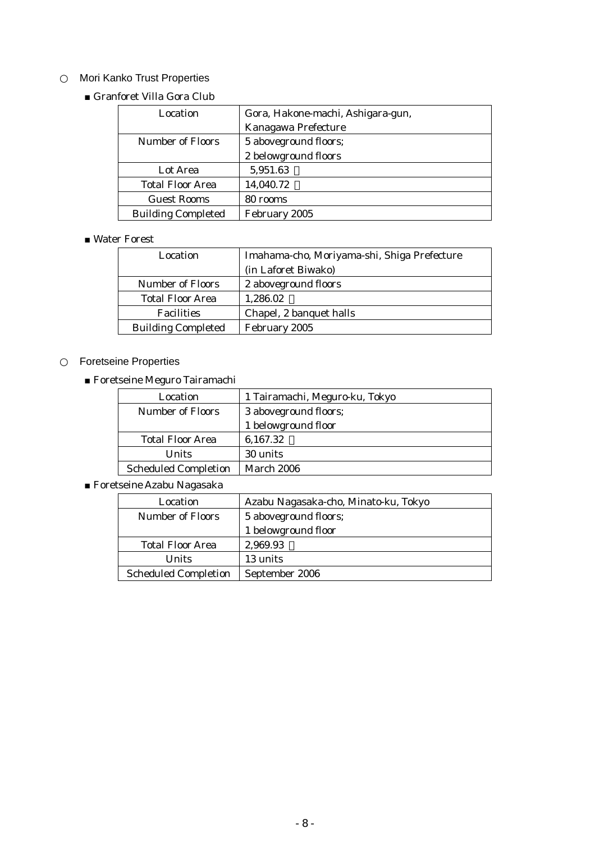# Mori Kanko Trust Properties

■ Granforet Villa Gora Club

| Location                                         | Gora, Hakone-machi, Ashigara-gun, |
|--------------------------------------------------|-----------------------------------|
|                                                  | Kanagawa Prefecture               |
| <b>Number of Floors</b><br>5 aboveground floors; |                                   |
|                                                  | 2 belowground floors              |
| Lot Area                                         | 5,951.63                          |
| <b>Total Floor Area</b>                          | 14,040.72                         |
| <b>Guest Rooms</b>                               | 80 rooms                          |
| <b>Building Completed</b>                        | February 2005                     |

### ■ Water Forest

| Location                  | Imahama-cho, Moriyama-shi, Shiga Prefecture |
|---------------------------|---------------------------------------------|
|                           | (in Laforet Biwako)                         |
| <b>Number of Floors</b>   | 2 aboveground floors                        |
| <b>Total Floor Area</b>   | 1,286.02                                    |
| <b>Facilities</b>         | Chapel, 2 banquet halls                     |
| <b>Building Completed</b> | February 2005                               |

# Foretseine Properties

■ Foretseine Meguro Tairamachi

| Location                    | 1 Tairamachi, Meguro-ku, Tokyo |
|-----------------------------|--------------------------------|
| <b>Number of Floors</b>     | 3 aboveground floors;          |
|                             | 1 belowground floor            |
| <b>Total Floor Area</b>     | 6,167.32                       |
| <b>Units</b>                | 30 units                       |
| <b>Scheduled Completion</b> | <b>March 2006</b>              |

■ Foretseine Azabu Nagasaka

| Location                    | Azabu Nagasaka-cho, Minato-ku, Tokyo |
|-----------------------------|--------------------------------------|
| Number of Floors            | 5 aboveground floors;                |
|                             | 1 belowground floor                  |
| <b>Total Floor Area</b>     | 2,969.93                             |
| Units                       | 13 units                             |
| <b>Scheduled Completion</b> | September 2006                       |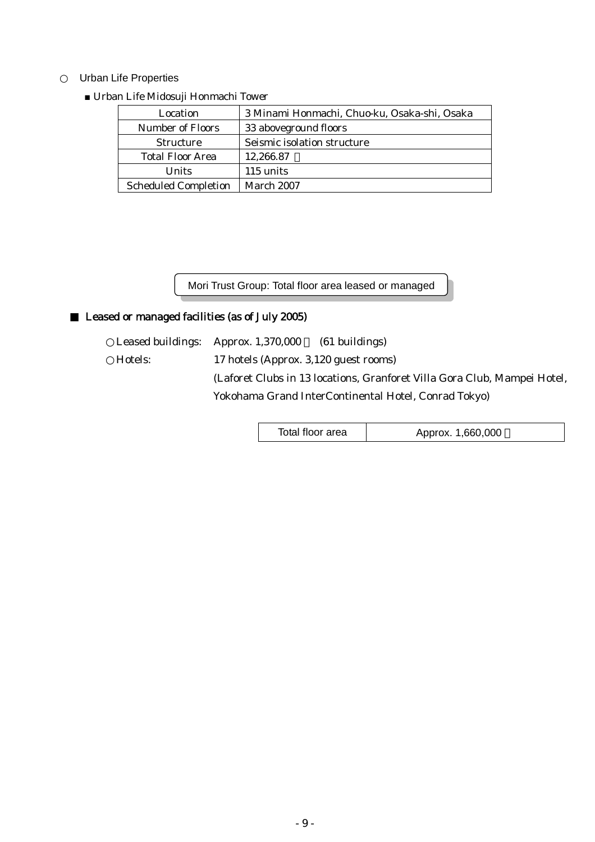#### Urban Life Properties

| Location                    | 3 Minami Honmachi, Chuo-ku, Osaka-shi, Osaka |
|-----------------------------|----------------------------------------------|
| Number of Floors            | 33 aboveground floors                        |
| <b>Structure</b>            | Seismic isolation structure                  |
| <b>Total Floor Area</b>     | 12,266.87                                    |
| <b>Units</b>                | 115 units                                    |
| <b>Scheduled Completion</b> | March 2007                                   |

#### ■ Urban Life Midosuji Honmachi Tower

Mori Trust Group: Total floor area leased or managed

## Leased or managed facilities (as of July 2005)

Leased buildings: Approx. 1,370,000 (61 buildings) Hotels: 17 hotels (Approx. 3,120 guest rooms) (Laforet Clubs in 13 locations, Granforet Villa Gora Club, Mampei Hotel, Yokohama Grand InterContinental Hotel, Conrad Tokyo)

Total floor area | Approx. 1,660,000